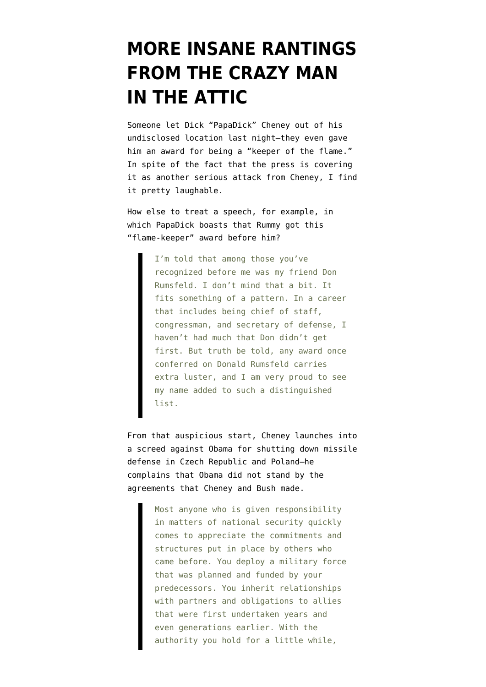## **[MORE INSANE RANTINGS](https://www.emptywheel.net/2009/10/22/more-insane-rantings-from-the-crazy-man-in-the-attic/) [FROM THE CRAZY MAN](https://www.emptywheel.net/2009/10/22/more-insane-rantings-from-the-crazy-man-in-the-attic/) [IN THE ATTIC](https://www.emptywheel.net/2009/10/22/more-insane-rantings-from-the-crazy-man-in-the-attic/)**

Someone [let Dick "PapaDick" Cheney out of his](http://www.centerforsecuritypolicy.org/p18209.xml) [undisclosed location](http://www.centerforsecuritypolicy.org/p18209.xml) last night–they even gave him an award for being a "keeper of the flame." In spite of the fact that the press is covering it as another serious attack from Cheney, I find it pretty laughable.

How else to treat a speech, for example, in which PapaDick boasts that Rummy got this "flame-keeper" award before him?

> I'm told that among those you've recognized before me was my friend Don Rumsfeld. I don't mind that a bit. It fits something of a pattern. In a career that includes being chief of staff, congressman, and secretary of defense, I haven't had much that Don didn't get first. But truth be told, any award once conferred on Donald Rumsfeld carries extra luster, and I am very proud to see my name added to such a distinguished list.

From that auspicious start, Cheney launches into a screed against Obama for shutting down missile defense in Czech Republic and Poland–he complains that Obama did not stand by the agreements that Cheney and Bush made.

> Most anyone who is given responsibility in matters of national security quickly comes to appreciate the commitments and structures put in place by others who came before. You deploy a military force that was planned and funded by your predecessors. You inherit relationships with partners and obligations to allies that were first undertaken years and even generations earlier. With the authority you hold for a little while,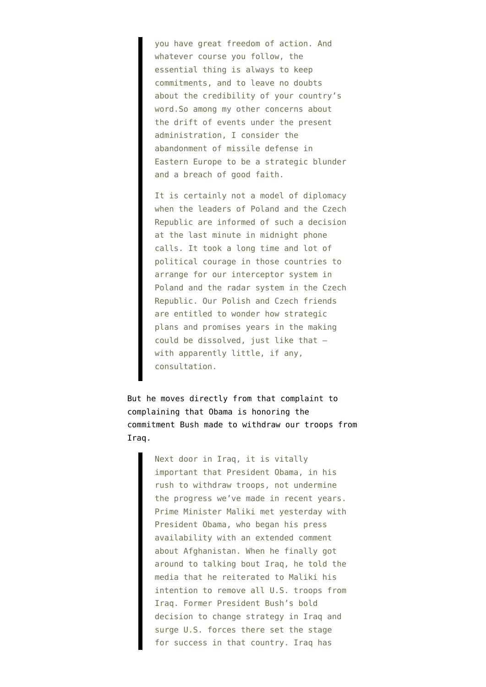you have great freedom of action. And whatever course you follow, the essential thing is always to keep commitments, and to leave no doubts about the credibility of your country's word.So among my other concerns about the drift of events under the present administration, I consider the abandonment of missile defense in Eastern Europe to be a strategic blunder and a breach of good faith.

It is certainly not a model of diplomacy when the leaders of Poland and the Czech Republic are informed of such a decision at the last minute in midnight phone calls. It took a long time and lot of political courage in those countries to arrange for our interceptor system in Poland and the radar system in the Czech Republic. Our Polish and Czech friends are entitled to wonder how strategic plans and promises years in the making could be dissolved, just like that – with apparently little, if any, consultation.

But he moves directly from that complaint to complaining that Obama is honoring the commitment Bush made to withdraw our troops from Iraq.

> Next door in Iraq, it is vitally important that President Obama, in his rush to withdraw troops, not undermine the progress we've made in recent years. Prime Minister Maliki met yesterday with President Obama, who began his press availability with an extended comment about Afghanistan. When he finally got around to talking bout Iraq, he told the media that he reiterated to Maliki his intention to remove all U.S. troops from Iraq. Former President Bush's bold decision to change strategy in Iraq and surge U.S. forces there set the stage for success in that country. Iraq has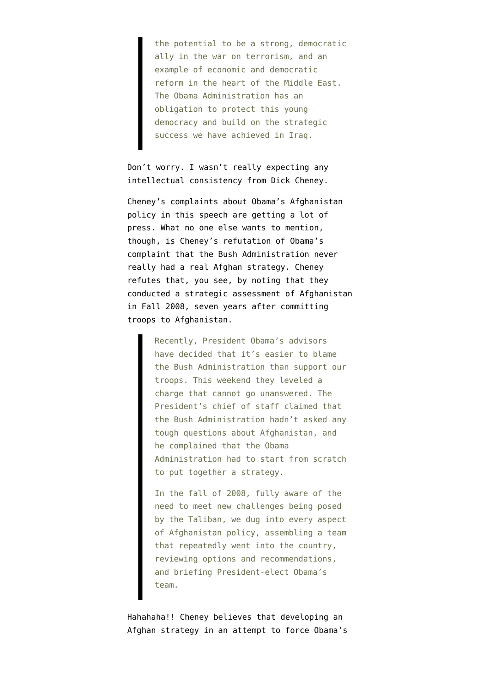the potential to be a strong, democratic ally in the war on terrorism, and an example of economic and democratic reform in the heart of the Middle East. The Obama Administration has an obligation to protect this young democracy and build on the strategic success we have achieved in Iraq.

Don't worry. I wasn't really expecting any intellectual consistency from Dick Cheney.

Cheney's complaints about Obama's Afghanistan policy in this speech are getting a lot of press. What no one else wants to mention, though, is Cheney's refutation of Obama's complaint that the Bush Administration never really had a real Afghan strategy. Cheney refutes that, you see, by noting that they conducted a strategic assessment of Afghanistan in Fall 2008, seven years after committing troops to Afghanistan.

> Recently, President Obama's advisors have decided that it's easier to blame the Bush Administration than support our troops. This weekend they leveled a charge that cannot go unanswered. The President's chief of staff claimed that the Bush Administration hadn't asked any tough questions about Afghanistan, and he complained that the Obama Administration had to start from scratch to put together a strategy.

> In the fall of 2008, fully aware of the need to meet new challenges being posed by the Taliban, we dug into every aspect of Afghanistan policy, assembling a team that repeatedly went into the country, reviewing options and recommendations, and briefing President-elect Obama's team.

Hahahaha!! Cheney believes that developing an Afghan strategy in an attempt to force Obama's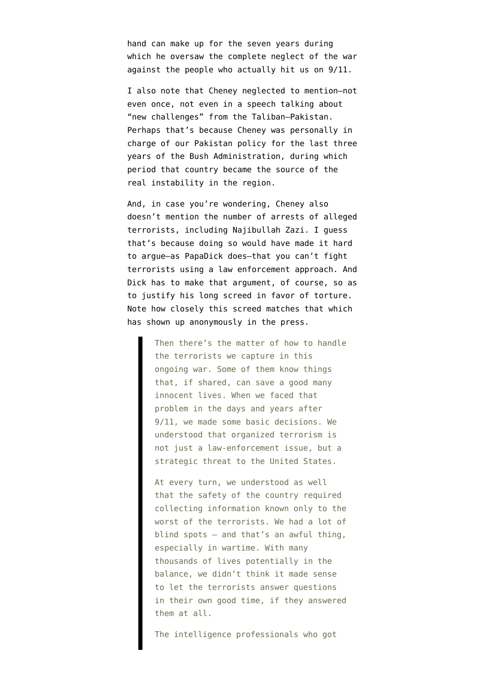hand can make up for the seven years during which he oversaw the complete neglect of the war against the people who actually hit us on 9/11.

I also note that Cheney neglected to mention–not even once, not even in a speech talking about "new challenges" from the Taliban–Pakistan. Perhaps that's because Cheney was personally in charge of our Pakistan policy for the last three years of the Bush Administration, during which period that country became the source of the real instability in the region.

And, in case you're wondering, Cheney also doesn't mention the number of arrests of alleged terrorists, including Najibullah Zazi. I guess that's because doing so would have made it hard to argue–as PapaDick does–that you can't fight terrorists using a law enforcement approach. And Dick has to make that argument, of course, so as to justify his long screed in favor of torture. Note how closely this screed matches that which has shown up anonymously in the press.

> Then there's the matter of how to handle the terrorists we capture in this ongoing war. Some of them know things that, if shared, can save a good many innocent lives. When we faced that problem in the days and years after 9/11, we made some basic decisions. We understood that organized terrorism is not just a law-enforcement issue, but a strategic threat to the United States.

> At every turn, we understood as well that the safety of the country required collecting information known only to the worst of the terrorists. We had a lot of blind spots – and that's an awful thing, especially in wartime. With many thousands of lives potentially in the balance, we didn't think it made sense to let the terrorists answer questions in their own good time, if they answered them at all.

The intelligence professionals who got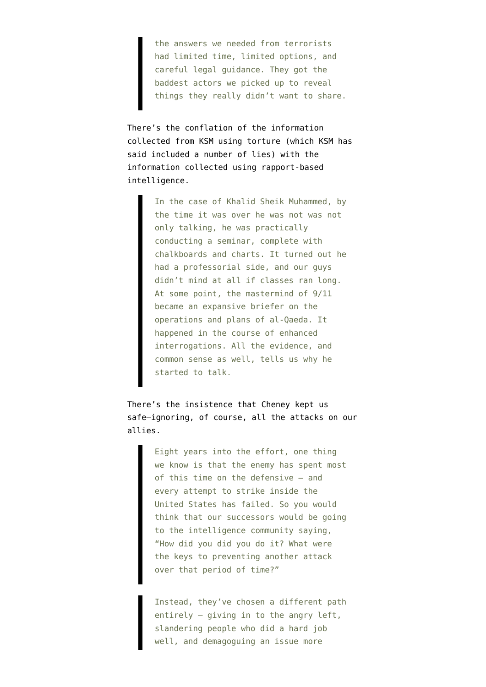the answers we needed from terrorists had limited time, limited options, and careful legal guidance. They got the baddest actors we picked up to reveal things they really didn't want to share.

There's the conflation of the information collected from KSM using torture (which KSM has said included a number of lies) with the information collected using rapport-based intelligence.

> In the case of Khalid Sheik Muhammed, by the time it was over he was not was not only talking, he was practically conducting a seminar, complete with chalkboards and charts. It turned out he had a professorial side, and our guys didn't mind at all if classes ran long. At some point, the mastermind of 9/11 became an expansive briefer on the operations and plans of al-Qaeda. It happened in the course of enhanced interrogations. All the evidence, and common sense as well, tells us why he started to talk.

There's the insistence that Cheney kept us safe–ignoring, of course, all the attacks on our allies.

> Eight years into the effort, one thing we know is that the enemy has spent most of this time on the defensive – and every attempt to strike inside the United States has failed. So you would think that our successors would be going to the intelligence community saying, "How did you did you do it? What were the keys to preventing another attack over that period of time?"

> Instead, they've chosen a different path entirely – giving in to the angry left, slandering people who did a hard job well, and demagoguing an issue more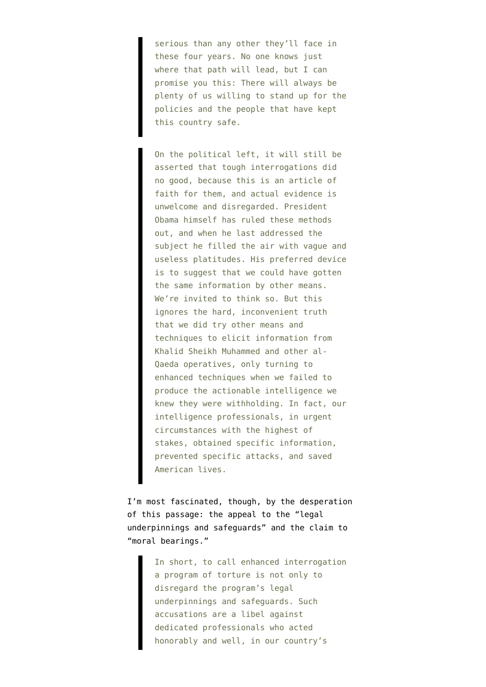serious than any other they'll face in these four years. No one knows just where that path will lead, but I can promise you this: There will always be plenty of us willing to stand up for the policies and the people that have kept this country safe.

On the political left, it will still be asserted that tough interrogations did no good, because this is an article of faith for them, and actual evidence is unwelcome and disregarded. President Obama himself has ruled these methods out, and when he last addressed the subject he filled the air with vague and useless platitudes. His preferred device is to suggest that we could have gotten the same information by other means. We're invited to think so. But this ignores the hard, inconvenient truth that we did try other means and techniques to elicit information from Khalid Sheikh Muhammed and other al-Qaeda operatives, only turning to enhanced techniques when we failed to produce the actionable intelligence we knew they were withholding. In fact, our intelligence professionals, in urgent circumstances with the highest of stakes, obtained specific information, prevented specific attacks, and saved American lives.

I'm most fascinated, though, by the desperation of this passage: the appeal to the "legal underpinnings and safeguards" and the claim to "moral bearings."

> In short, to call enhanced interrogation a program of torture is not only to disregard the program's legal underpinnings and safeguards. Such accusations are a libel against dedicated professionals who acted honorably and well, in our country's